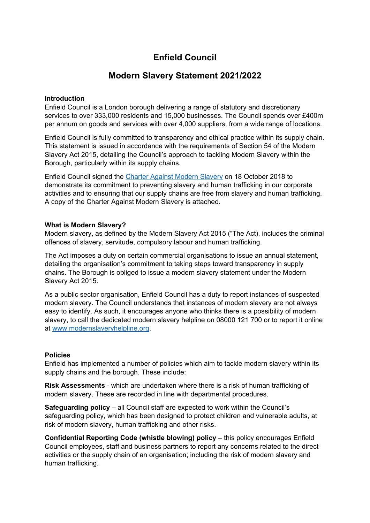# **Enfield Council**

## **Modern Slavery Statement 2021/2022**

#### **Introduction**

Enfield Council is a London borough delivering a range of statutory and discretionary services to over 333,000 residents and 15,000 businesses. The Council spends over £400m per annum on goods and services with over 4,000 suppliers, from a wide range of locations.

Enfield Council is fully committed to transparency and ethical practice within its supply chain. This statement is issued in accordance with the requirements of Section 54 of the Modern Slavery Act 2015, detailing the Council's approach to tackling Modern Slavery within the Borough, particularly within its supply chains.

Enfield Council signed the [Charter Against Modern Slavery](https://party.coop/local/councillors/modern-slavery-charter/) on 18 October 2018 to demonstrate its commitment to preventing slavery and human trafficking in our corporate activities and to ensuring that our supply chains are free from slavery and human trafficking. A copy of the Charter Against Modern Slavery is attached.

## **What is Modern Slavery?**

Modern slavery, as defined by the Modern Slavery Act 2015 ("The Act), includes the criminal offences of slavery, servitude, compulsory labour and human trafficking.

The Act imposes a duty on certain commercial organisations to issue an annual statement, detailing the organisation's commitment to taking steps toward transparency in supply chains. The Borough is obliged to issue a modern slavery statement under the Modern Slavery Act 2015.

As a public sector organisation, Enfield Council has a duty to report instances of suspected modern slavery. The Council understands that instances of modern slavery are not always easy to identify. As such, it encourages anyone who thinks there is a possibility of modern slavery, to call the dedicated modern slavery helpline on 08000 121 700 or to report it online at [www.modernslaveryhelpline.org.](http://www.modernslaveryhelpline.org/)

#### **Policies**

Enfield has implemented a number of policies which aim to tackle modern slavery within its supply chains and the borough. These include:

**Risk Assessments** - which are undertaken where there is a risk of human trafficking of modern slavery. These are recorded in line with departmental procedures.

**Safeguarding policy** – all Council staff are expected to work within the Council's safeguarding policy, which has been designed to protect children and vulnerable adults, at risk of modern slavery, human trafficking and other risks.

**Confidential Reporting Code (whistle blowing) policy** – this policy encourages Enfield Council employees, staff and business partners to report any concerns related to the direct activities or the supply chain of an organisation; including the risk of modern slavery and human trafficking.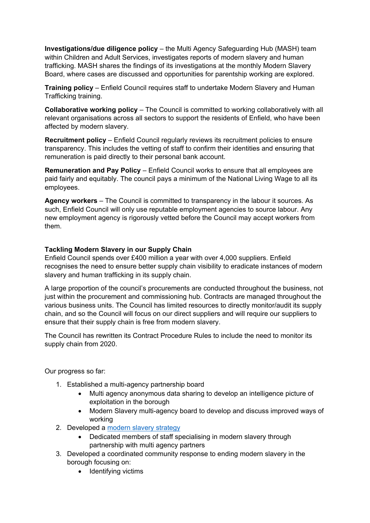**Investigations/due diligence policy** – the Multi Agency Safeguarding Hub (MASH) team within Children and Adult Services, investigates reports of modern slavery and human trafficking. MASH shares the findings of its investigations at the monthly Modern Slavery Board, where cases are discussed and opportunities for parentship working are explored.

**Training policy** – Enfield Council requires staff to undertake Modern Slavery and Human Trafficking training.

**Collaborative working policy** – The Council is committed to working collaboratively with all relevant organisations across all sectors to support the residents of Enfield, who have been affected by modern slavery.

**Recruitment policy** – Enfield Council regularly reviews its recruitment policies to ensure transparency. This includes the vetting of staff to confirm their identities and ensuring that remuneration is paid directly to their personal bank account.

**Remuneration and Pay Policy** – Enfield Council works to ensure that all employees are paid fairly and equitably. The council pays a minimum of the National Living Wage to all its employees.

**Agency workers** – The Council is committed to transparency in the labour it sources. As such, Enfield Council will only use reputable employment agencies to source labour. Any new employment agency is rigorously vetted before the Council may accept workers from them.

## **Tackling Modern Slavery in our Supply Chain**

Enfield Council spends over £400 million a year with over 4,000 suppliers. Enfield recognises the need to ensure better supply chain visibility to eradicate instances of modern slavery and human trafficking in its supply chain.

A large proportion of the council's procurements are conducted throughout the business, not just within the procurement and commissioning hub. Contracts are managed throughout the various business units. The Council has limited resources to directly monitor/audit its supply chain, and so the Council will focus on our direct suppliers and will require our suppliers to ensure that their supply chain is free from modern slavery.

The Council has rewritten its Contract Procedure Rules to include the need to monitor its supply chain from 2020.

Our progress so far:

- 1. Established a multi-agency partnership board
	- Multi agency anonymous data sharing to develop an intelligence picture of exploitation in the borough
	- Modern Slavery multi-agency board to develop and discuss improved ways of working
- 2. Developed a [modern slavery strategy](https://mylife.enfield.gov.uk/media/33625/hhasc704-modern-slavery-strategy.pdf)
	- Dedicated members of staff specialising in modern slavery through partnership with multi agency partners
- 3. Developed a coordinated community response to ending modern slavery in the borough focusing on:
	- Identifying victims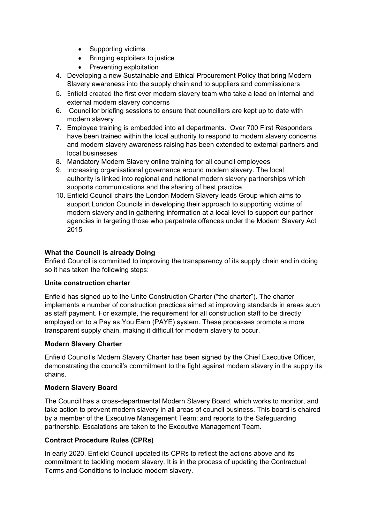- Supporting victims
- Bringing exploiters to justice
- Preventing exploitation
- 4. Developing a new Sustainable and Ethical Procurement Policy that bring Modern Slavery awareness into the supply chain and to suppliers and commissioners
- 5. Enfield created the first ever modern slavery team who take a lead on internal and external modern slavery concerns
- 6. Councillor briefing sessions to ensure that councillors are kept up to date with modern slavery
- 7. Employee training is embedded into all departments. Over 700 First Responders have been trained within the local authority to respond to modern slavery concerns and modern slavery awareness raising has been extended to external partners and local businesses
- 8. Mandatory Modern Slavery online training for all council employees
- 9. Increasing organisational governance around modern slavery. The local authority is linked into regional and national modern slavery partnerships which supports communications and the sharing of best practice
- 10. Enfield Council chairs the London Modern Slavery leads Group which aims to support London Councils in developing their approach to supporting victims of modern slavery and in gathering information at a local level to support our partner agencies in targeting those who perpetrate offences under the Modern Slavery Act 2015

## **What the Council is already Doing**

Enfield Council is committed to improving the transparency of its supply chain and in doing so it has taken the following steps:

#### **Unite construction charter**

Enfield has signed up to the Unite Construction Charter ("the charter"). The charter implements a number of construction practices aimed at improving standards in areas such as staff payment. For example, the requirement for all construction staff to be directly employed on to a Pay as You Earn (PAYE) system. These processes promote a more transparent supply chain, making it difficult for modern slavery to occur.

## **Modern Slavery Charter**

Enfield Council's Modern Slavery Charter has been signed by the Chief Executive Officer, demonstrating the council's commitment to the fight against modern slavery in the supply its chains.

#### **Modern Slavery Board**

The Council has a cross-departmental Modern Slavery Board, which works to monitor, and take action to prevent modern slavery in all areas of council business. This board is chaired by a member of the Executive Management Team; and reports to the Safeguarding partnership. Escalations are taken to the Executive Management Team.

## **Contract Procedure Rules (CPRs)**

In early 2020, Enfield Council updated its CPRs to reflect the actions above and its commitment to tackling modern slavery. It is in the process of updating the Contractual Terms and Conditions to include modern slavery.